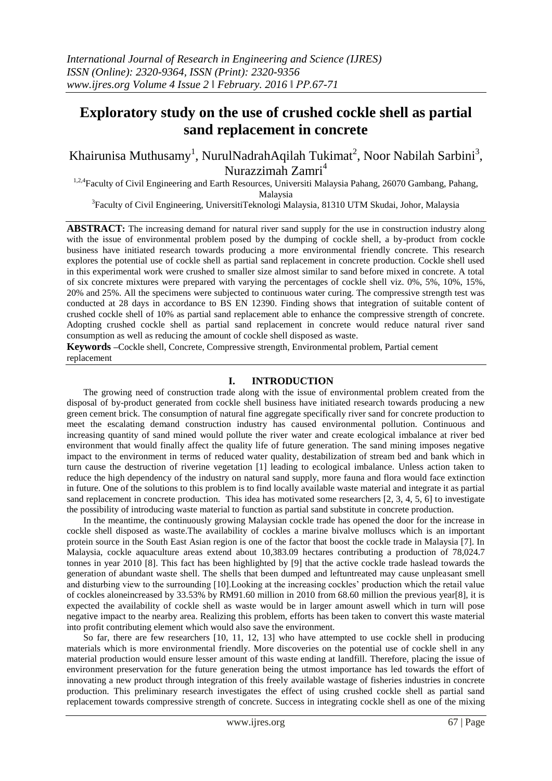# **Exploratory study on the use of crushed cockle shell as partial sand replacement in concrete**

Khairunisa Muthusamy<sup>1</sup>, NurulNadrahAqilah Tukimat<sup>2</sup>, Noor Nabilah Sarbini<sup>3</sup>, Nurazzimah Zamri<sup>4</sup>

<sup>1,2,4</sup>Faculty of Civil Engineering and Earth Resources, Universiti Malaysia Pahang, 26070 Gambang, Pahang, Malaysia

<sup>3</sup>Faculty of Civil Engineering, UniversitiTeknologi Malaysia, 81310 UTM Skudai, Johor, Malaysia

**ABSTRACT:** The increasing demand for natural river sand supply for the use in construction industry along with the issue of environmental problem posed by the dumping of cockle shell, a by-product from cockle business have initiated research towards producing a more environmental friendly concrete. This research explores the potential use of cockle shell as partial sand replacement in concrete production. Cockle shell used in this experimental work were crushed to smaller size almost similar to sand before mixed in concrete. A total of six concrete mixtures were prepared with varying the percentages of cockle shell viz. 0%, 5%, 10%, 15%, 20% and 25%. All the specimens were subjected to continuous water curing. The compressive strength test was conducted at 28 days in accordance to BS EN 12390. Finding shows that integration of suitable content of crushed cockle shell of 10% as partial sand replacement able to enhance the compressive strength of concrete. Adopting crushed cockle shell as partial sand replacement in concrete would reduce natural river sand consumption as well as reducing the amount of cockle shell disposed as waste.

**Keywords –**Cockle shell, Concrete, Compressive strength, Environmental problem, Partial cement replacement

## **I. INTRODUCTION**

The growing need of construction trade along with the issue of environmental problem created from the disposal of by-product generated from cockle shell business have initiated research towards producing a new green cement brick. The consumption of natural fine aggregate specifically river sand for concrete production to meet the escalating demand construction industry has caused environmental pollution. Continuous and increasing quantity of sand mined would pollute the river water and create ecological imbalance at river bed environment that would finally affect the quality life of future generation. The sand mining imposes negative impact to the environment in terms of reduced water quality, destabilization of stream bed and bank which in turn cause the destruction of riverine vegetation [1] leading to ecological imbalance. Unless action taken to reduce the high dependency of the industry on natural sand supply, more fauna and flora would face extinction in future. One of the solutions to this problem is to find locally available waste material and integrate it as partial sand replacement in concrete production. This idea has motivated some researchers [2, 3, 4, 5, 6] to investigate the possibility of introducing waste material to function as partial sand substitute in concrete production.

In the meantime, the continuously growing Malaysian cockle trade has opened the door for the increase in cockle shell disposed as waste.The availability of cockles a marine bivalve molluscs which is an important protein source in the South East Asian region is one of the factor that boost the cockle trade in Malaysia [7]. In Malaysia, cockle aquaculture areas extend about 10,383.09 hectares contributing a production of 78,024.7 tonnes in year 2010 [8]. This fact has been highlighted by [9] that the active cockle trade haslead towards the generation of abundant waste shell. The shells that been dumped and leftuntreated may cause unpleasant smell and disturbing view to the surrounding [10].Looking at the increasing cockles' production which the retail value of cockles aloneincreased by 33.53% by RM91.60 million in 2010 from 68.60 million the previous year[8], it is expected the availability of cockle shell as waste would be in larger amount aswell which in turn will pose negative impact to the nearby area. Realizing this problem, efforts has been taken to convert this waste material into profit contributing element which would also save the environment.

So far, there are few researchers [10, 11, 12, 13] who have attempted to use cockle shell in producing materials which is more environmental friendly. More discoveries on the potential use of cockle shell in any material production would ensure lesser amount of this waste ending at landfill. Therefore, placing the issue of environment preservation for the future generation being the utmost importance has led towards the effort of innovating a new product through integration of this freely available wastage of fisheries industries in concrete production. This preliminary research investigates the effect of using crushed cockle shell as partial sand replacement towards compressive strength of concrete. Success in integrating cockle shell as one of the mixing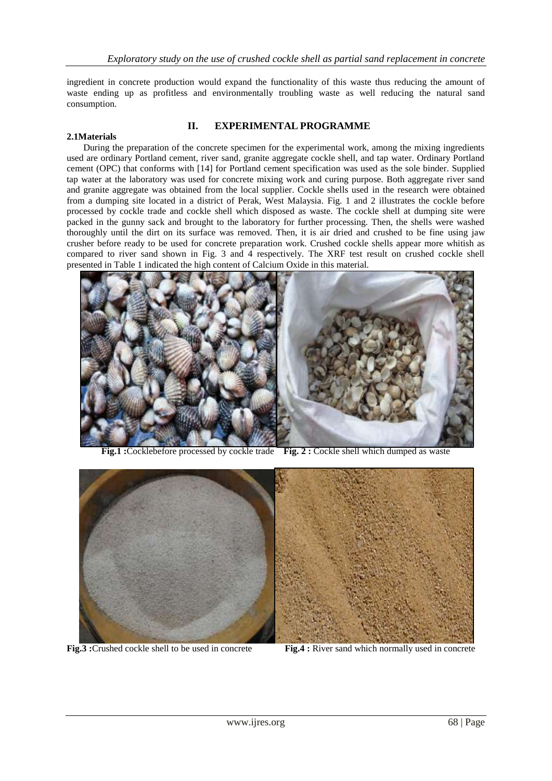ingredient in concrete production would expand the functionality of this waste thus reducing the amount of waste ending up as profitless and environmentally troubling waste as well reducing the natural sand consumption.

# **II. EXPERIMENTAL PROGRAMME**

### **2.1Materials**

During the preparation of the concrete specimen for the experimental work, among the mixing ingredients used are ordinary Portland cement, river sand, granite aggregate cockle shell, and tap water. Ordinary Portland cement (OPC) that conforms with [14] for Portland cement specification was used as the sole binder. Supplied tap water at the laboratory was used for concrete mixing work and curing purpose. Both aggregate river sand and granite aggregate was obtained from the local supplier. Cockle shells used in the research were obtained from a dumping site located in a district of Perak, West Malaysia. Fig. 1 and 2 illustrates the cockle before processed by cockle trade and cockle shell which disposed as waste. The cockle shell at dumping site were packed in the gunny sack and brought to the laboratory for further processing. Then, the shells were washed thoroughly until the dirt on its surface was removed. Then, it is air dried and crushed to be fine using jaw crusher before ready to be used for concrete preparation work. Crushed cockle shells appear more whitish as compared to river sand shown in Fig. 3 and 4 respectively. The XRF test result on crushed cockle shell presented in Table 1 indicated the high content of Calcium Oxide in this material.



**Fig.1 :**Cocklebefore processed by cockle trade **Fig. 2 :** Cockle shell which dumped as waste



**Fig.3** : Crushed cockle shell to be used in concrete **Fig.4** : River sand which normally used in concrete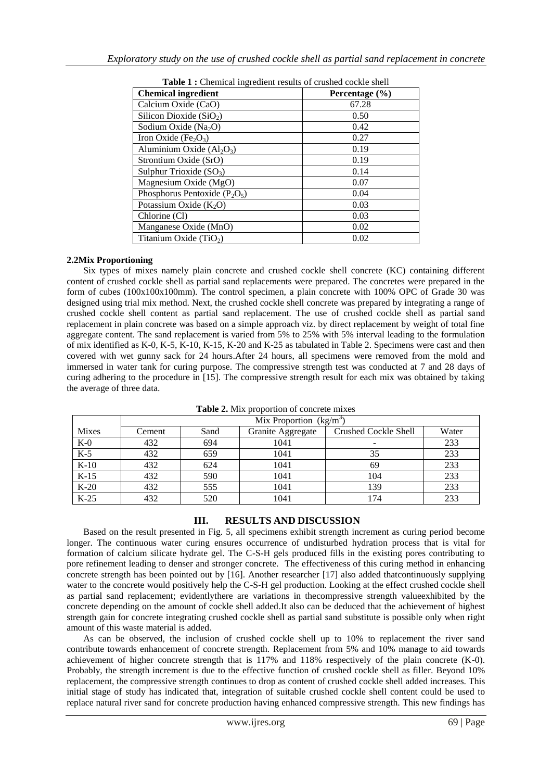| <b>Table 1:</b> Chemical ingredient results of crushed cockle shell |                    |  |  |  |
|---------------------------------------------------------------------|--------------------|--|--|--|
| <b>Chemical ingredient</b>                                          | Percentage $(\% )$ |  |  |  |
| Calcium Oxide (CaO)                                                 | 67.28              |  |  |  |
| Silicon Dioxide $(SiO2)$                                            | 0.50               |  |  |  |
| Sodium Oxide ( $Na2O$ )                                             | 0.42               |  |  |  |
| Iron Oxide (Fe <sub>2</sub> O <sub>3</sub> )                        | 0.27               |  |  |  |
| Aluminium Oxide $(Al_2O_3)$                                         | 0.19               |  |  |  |
| Strontium Oxide (SrO)                                               | 0.19               |  |  |  |
| Sulphur Trioxide $(SO_3)$                                           | 0.14               |  |  |  |
| Magnesium Oxide (MgO)                                               | 0.07               |  |  |  |
| Phosphorus Pentoxide $(P_2O_5)$                                     | 0.04               |  |  |  |
| Potassium Oxide $(K_2O)$                                            | 0.03               |  |  |  |
| Chlorine (Cl)                                                       | 0.03               |  |  |  |
| Manganese Oxide (MnO)                                               | 0.02               |  |  |  |
| Titanium Oxide $(TiO2)$                                             | 0.02               |  |  |  |

**Table 1 :** Chemical ingredient results of crushed cockle shell

## **2.2Mix Proportioning**

Six types of mixes namely plain concrete and crushed cockle shell concrete (KC) containing different content of crushed cockle shell as partial sand replacements were prepared. The concretes were prepared in the form of cubes (100x100x100mm). The control specimen, a plain concrete with 100% OPC of Grade 30 was designed using trial mix method. Next, the crushed cockle shell concrete was prepared by integrating a range of crushed cockle shell content as partial sand replacement. The use of crushed cockle shell as partial sand replacement in plain concrete was based on a simple approach viz. by direct replacement by weight of total fine aggregate content. The sand replacement is varied from 5% to 25% with 5% interval leading to the formulation of mix identified as K-0, K-5, K-10, K-15, K-20 and K-25 as tabulated in Table 2. Specimens were cast and then covered with wet gunny sack for 24 hours.After 24 hours, all specimens were removed from the mold and immersed in water tank for curing purpose. The compressive strength test was conducted at 7 and 28 days of curing adhering to the procedure in [15]. The compressive strength result for each mix was obtained by taking the average of three data.

|              | Mix Proportion $(kg/m^3)$ |      |                   |                             |       |
|--------------|---------------------------|------|-------------------|-----------------------------|-------|
| <b>Mixes</b> | Cement                    | Sand | Granite Aggregate | <b>Crushed Cockle Shell</b> | Water |
| $K-0$        | 432                       | 694  | 1041              |                             | 233   |
| $K-5$        | 432                       | 659  | 1041              | 35                          | 233   |
| $K-10$       | 432                       | 624  | 1041              | 69                          | 233   |
| $K-15$       | 432                       | 590  | 1041              | 104                         | 233   |
| $K-20$       | 432                       | 555  | 1041              | 139                         | 233   |
| $K-25$       | 432                       | 520  | 1041              | 174                         | 233   |

**Table 2.** Mix proportion of concrete mixes

# **III. RESULTS AND DISCUSSION**

Based on the result presented in Fig. 5, all specimens exhibit strength increment as curing period become longer. The continuous water curing ensures occurrence of undisturbed hydration process that is vital for formation of calcium silicate hydrate gel. The C-S-H gels produced fills in the existing pores contributing to pore refinement leading to denser and stronger concrete. The effectiveness of this curing method in enhancing concrete strength has been pointed out by [16]. Another researcher [17] also added thatcontinuously supplying water to the concrete would positively help the C-S-H gel production. Looking at the effect crushed cockle shell as partial sand replacement; evidentlythere are variations in thecompressive strength valueexhibited by the concrete depending on the amount of cockle shell added.It also can be deduced that the achievement of highest strength gain for concrete integrating crushed cockle shell as partial sand substitute is possible only when right amount of this waste material is added.

As can be observed, the inclusion of crushed cockle shell up to 10% to replacement the river sand contribute towards enhancement of concrete strength. Replacement from 5% and 10% manage to aid towards achievement of higher concrete strength that is 117% and 118% respectively of the plain concrete (K-0). Probably, the strength increment is due to the effective function of crushed cockle shell as filler. Beyond 10% replacement, the compressive strength continues to drop as content of crushed cockle shell added increases. This initial stage of study has indicated that, integration of suitable crushed cockle shell content could be used to replace natural river sand for concrete production having enhanced compressive strength. This new findings has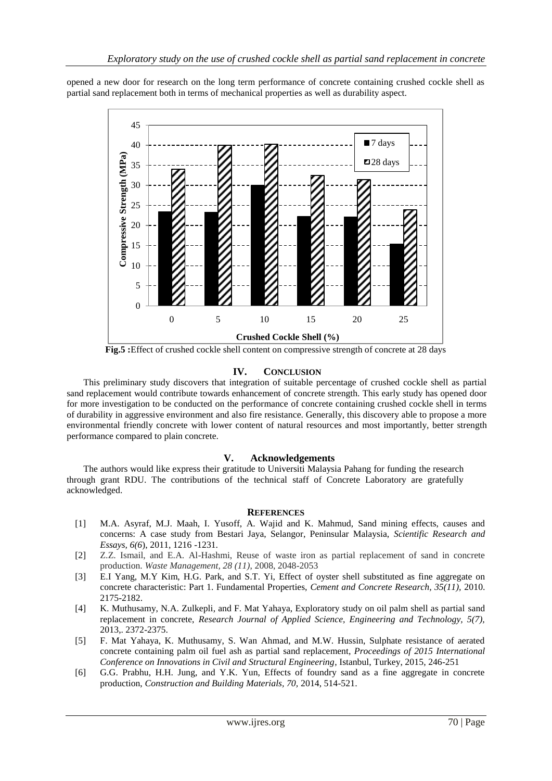opened a new door for research on the long term performance of concrete containing crushed cockle shell as partial sand replacement both in terms of mechanical properties as well as durability aspect.



**Fig.5 :**Effect of crushed cockle shell content on compressive strength of concrete at 28 days

## **IV. CONCLUSION**

This preliminary study discovers that integration of suitable percentage of crushed cockle shell as partial sand replacement would contribute towards enhancement of concrete strength. This early study has opened door for more investigation to be conducted on the performance of concrete containing crushed cockle shell in terms of durability in aggressive environment and also fire resistance. Generally, this discovery able to propose a more environmental friendly concrete with lower content of natural resources and most importantly, better strength performance compared to plain concrete.

## **V. Acknowledgements**

The authors would like express their gratitude to Universiti Malaysia Pahang for funding the research through grant RDU. The contributions of the technical staff of Concrete Laboratory are gratefully acknowledged.

#### **REFERENCES**

- [1] M.A. Asyraf, M.J. Maah, I. Yusoff, A. Wajid and K. Mahmud, Sand mining effects, causes and concerns: A case study from Bestari Jaya, Selangor, Peninsular Malaysia, *Scientific Research and Essays, 6(6*), 2011, 1216 -1231.
- [2] Z.Z. Ismail, and E.A. Al-Hashmi, Reuse of waste iron as partial replacement of sand in concrete production. *Waste Management, 28 (11)*, 2008, 2048-2053
- [3] E.I Yang, M.Y Kim, H.G. Park, and S.T. Yi, Effect of oyster shell substituted as fine aggregate on concrete characteristic: Part 1. Fundamental Properties, *Cement and Concrete Research, 35(11),* 2010. 2175-2182.
- [4] K. Muthusamy, N.A. Zulkepli, and F. Mat Yahaya, Exploratory study on oil palm shell as partial sand replacement in concrete, *Research Journal of Applied Science, Engineering and Technology, 5(7),*  2013,. 2372-2375.
- [5] F. Mat Yahaya, K. Muthusamy, S. Wan Ahmad, and M.W. Hussin, Sulphate resistance of aerated concrete containing palm oil fuel ash as partial sand replacement, *Proceedings of 2015 International Conference on Innovations in Civil and Structural Engineering*, Istanbul, Turkey, 2015, 246-251
- [6] G.G. Prabhu, H.H. Jung, and Y.K. Yun, Effects of foundry sand as a fine aggregate in concrete production, *Construction and Building Materials, 70,* 2014, 514-521.